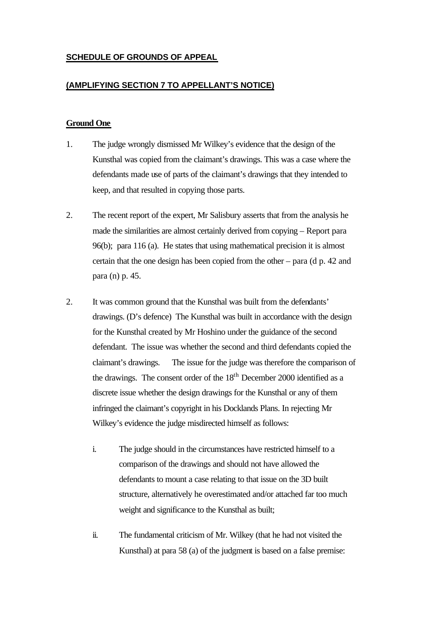# **SCHEDULE OF GROUNDS OF APPEAL**

## **(AMPLIFYING SECTION 7 TO APPELLANT'S NOTICE)**

### **Ground One**

- 1. The judge wrongly dismissed Mr Wilkey's evidence that the design of the Kunsthal was copied from the claimant's drawings. This was a case where the defendants made use of parts of the claimant's drawings that they intended to keep, and that resulted in copying those parts.
- 2. The recent report of the expert, Mr Salisbury asserts that from the analysis he made the similarities are almost certainly derived from copying – Report para 96(b); para 116 (a). He states that using mathematical precision it is almost certain that the one design has been copied from the other – para (d p. 42 and para (n) p. 45.
- 2. It was common ground that the Kunsthal was built from the defendants' drawings. (D's defence) The Kunsthal was built in accordance with the design for the Kunsthal created by Mr Hoshino under the guidance of the second defendant. The issue was whether the second and third defendants copied the claimant's drawings. The issue for the judge was therefore the comparison of the drawings. The consent order of the  $18<sup>th</sup>$  December 2000 identified as a discrete issue whether the design drawings for the Kunsthal or any of them infringed the claimant's copyright in his Docklands Plans. In rejecting Mr Wilkey's evidence the judge misdirected himself as follows:
	- i. The judge should in the circumstances have restricted himself to a comparison of the drawings and should not have allowed the defendants to mount a case relating to that issue on the 3D built structure, alternatively he overestimated and/or attached far too much weight and significance to the Kunsthal as built;
	- ii. The fundamental criticism of Mr. Wilkey (that he had not visited the Kunsthal) at para 58 (a) of the judgment is based on a false premise: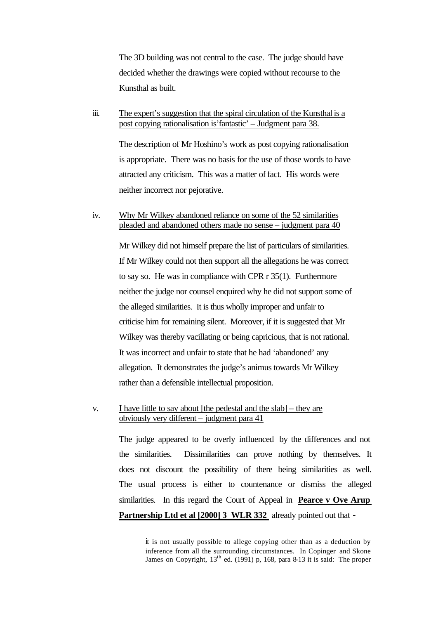The 3D building was not central to the case. The judge should have decided whether the drawings were copied without recourse to the Kunsthal as built.

iii. The expert's suggestion that the spiral circulation of the Kunsthal is a post copying rationalisation is'fantastic' – Judgment para 38.

> The description of Mr Hoshino's work as post copying rationalisation is appropriate. There was no basis for the use of those words to have attracted any criticism. This was a matter of fact. His words were neither incorrect nor pejorative.

## iv. Why Mr Wilkey abandoned reliance on some of the 52 similarities pleaded and abandoned others made no sense – judgment para 40

Mr Wilkey did not himself prepare the list of particulars of similarities. If Mr Wilkey could not then support all the allegations he was correct to say so. He was in compliance with CPR r 35(1). Furthermore neither the judge nor counsel enquired why he did not support some of the alleged similarities. It is thus wholly improper and unfair to criticise him for remaining silent. Moreover, if it is suggested that Mr Wilkey was thereby vacillating or being capricious, that is not rational. It was incorrect and unfair to state that he had 'abandoned' any allegation. It demonstrates the judge's animus towards Mr Wilkey rather than a defensible intellectual proposition.

## v. I have little to say about [the pedestal and the slab] – they are obviously very different – judgment para 41

The judge appeared to be overly influenced by the differences and not the similarities. Dissimilarities can prove nothing by themselves. It does not discount the possibility of there being similarities as well. The usual process is either to countenance or dismiss the alleged similarities. In this regard the Court of Appeal in **Pearce v Ove Arup Partnership Ltd et al [2000] 3 WLR 332** already pointed out that -

> it is not usually possible to allege copying other than as a deduction by inference from all the surrounding circumstances. In Copinger and Skone James on Copyright,  $13^{th}$  ed. (1991) p, 168, para 8-13 it is said: The proper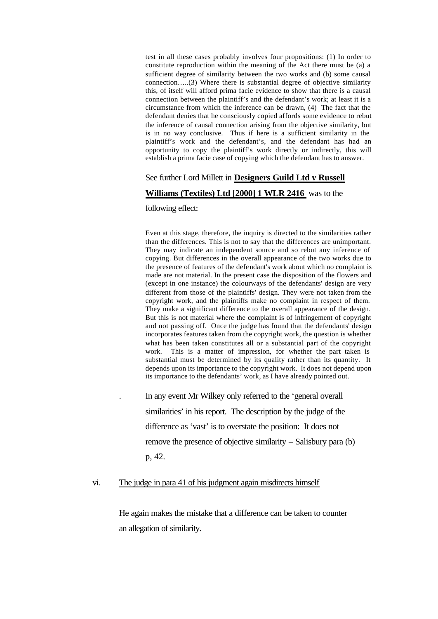test in all these cases probably involves four propositions: (1) In order to constitute reproduction within the meaning of the Act there must be (a) a sufficient degree of similarity between the two works and (b) some causal connection…..(3) Where there is substantial degree of objective similarity this, of itself will afford prima facie evidence to show that there is a causal connection between the plaintiff's and the defendant's work; at least it is a circumstance from which the inference can be drawn, (4) The fact that the defendant denies that he consciously copied affords some evidence to rebut the inference of causal connection arising from the objective similarity, but is in no way conclusive. Thus if here is a sufficient similarity in the plaintiff's work and the defendant's, and the defendant has had an opportunity to copy the plaintiff's work directly or indirectly, this will establish a prima facie case of copying which the defendant has to answer.

## See further Lord Millett in **Designers Guild Ltd v Russell**

#### **Williams (Textiles) Ltd [2000] 1 WLR 2416** was to the

#### following effect:

Even at this stage, therefore, the inquiry is directed to the similarities rather than the differences. This is not to say that the differences are unimportant. They may indicate an independent source and so rebut any inference of copying. But differences in the overall appearance of the two works due to the presence of features of the defendant's work about which no complaint is made are not material. In the present case the disposition of the flowers and (except in one instance) the colourways of the defendants' design are very different from those of the plaintiffs' design. They were not taken from the copyright work, and the plaintiffs make no complaint in respect of them. They make a significant difference to the overall appearance of the design. But this is not material where the complaint is of infringement of copyright and not passing off. Once the judge has found that the defendants' design incorporates features taken from the copyright work, the question is whether what has been taken constitutes all or a substantial part of the copyright work. This is a matter of impression, for whether the part taken is substantial must be determined by its quality rather than its quantity. It depends upon its importance to the copyright work. It does not depend upon its importance to the defendants' work, as I have already pointed out.

. In any event Mr Wilkey only referred to the 'general overall similarities' in his report. The description by the judge of the difference as 'vast' is to overstate the position: It does not remove the presence of objective similarity – Salisbury para (b) p, 42.

### vi. The judge in para 41 of his judgment again misdirects himself

He again makes the mistake that a difference can be taken to counter an allegation of similarity.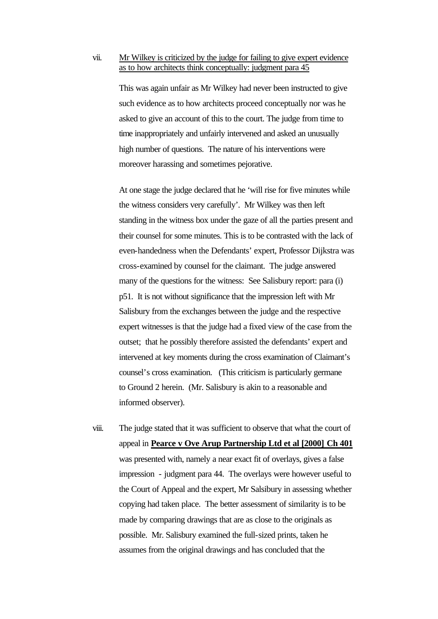### vii. Mr Wilkey is criticized by the judge for failing to give expert evidence as to how architects think conceptually: judgment para 45

This was again unfair as Mr Wilkey had never been instructed to give such evidence as to how architects proceed conceptually nor was he asked to give an account of this to the court. The judge from time to time inappropriately and unfairly intervened and asked an unusually high number of questions. The nature of his interventions were moreover harassing and sometimes pejorative.

At one stage the judge declared that he 'will rise for five minutes while the witness considers very carefully'. Mr Wilkey was then left standing in the witness box under the gaze of all the parties present and their counsel for some minutes. This is to be contrasted with the lack of even-handedness when the Defendants' expert, Professor Dijkstra was cross-examined by counsel for the claimant. The judge answered many of the questions for the witness: See Salisbury report: para (i) p51. It is not without significance that the impression left with Mr Salisbury from the exchanges between the judge and the respective expert witnesses is that the judge had a fixed view of the case from the outset; that he possibly therefore assisted the defendants' expert and intervened at key moments during the cross examination of Claimant's counsel's cross examination. (This criticism is particularly germane to Ground 2 herein. (Mr. Salisbury is akin to a reasonable and informed observer).

viii. The judge stated that it was sufficient to observe that what the court of appeal in **Pearce v Ove Arup Partnership Ltd et al [2000] Ch 401** was presented with, namely a near exact fit of overlays, gives a false impression - judgment para 44. The overlays were however useful to the Court of Appeal and the expert, Mr Salsibury in assessing whether copying had taken place. The better assessment of similarity is to be made by comparing drawings that are as close to the originals as possible. Mr. Salisbury examined the full-sized prints, taken he assumes from the original drawings and has concluded that the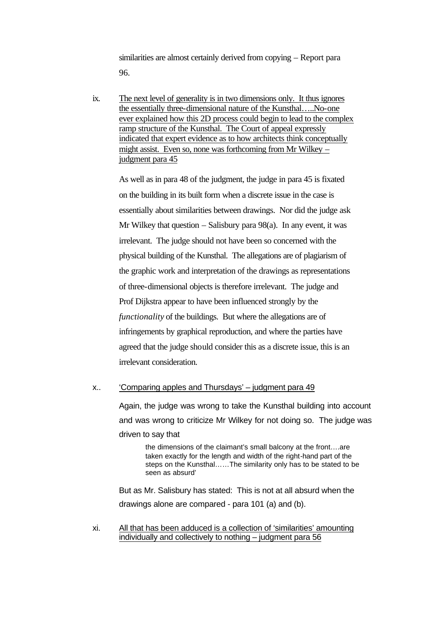similarities are almost certainly derived from copying – Report para 96.

ix. The next level of generality is in two dimensions only. It thus ignores the essentially three-dimensional nature of the Kunsthal…..No-one ever explained how this 2D process could begin to lead to the complex ramp structure of the Kunsthal. The Court of appeal expressly indicated that expert evidence as to how architects think conceptually might assist. Even so, none was forthcoming from Mr Wilkey – judgment para 45

As well as in para 48 of the judgment, the judge in para 45 is fixated on the building in its built form when a discrete issue in the case is essentially about similarities between drawings. Nor did the judge ask Mr Wilkey that question  $-$  Salisbury para 98(a). In any event, it was irrelevant. The judge should not have been so concerned with the physical building of the Kunsthal. The allegations are of plagiarism of the graphic work and interpretation of the drawings as representations of three-dimensional objects is therefore irrelevant. The judge and Prof Dijkstra appear to have been influenced strongly by the *functionality* of the buildings. But where the allegations are of infringements by graphical reproduction, and where the parties have agreed that the judge should consider this as a discrete issue, this is an irrelevant consideration.

## x.. 'Comparing apples and Thursdays' – judgment para 49

Again, the judge was wrong to take the Kunsthal building into account and was wrong to criticize Mr Wilkey for not doing so. The judge was driven to say that

the dimensions of the claimant's small balcony at the front….are taken exactly for the length and width of the right-hand part of the steps on the Kunsthal……The similarity only has to be stated to be seen as absurd'

But as Mr. Salisbury has stated: This is not at all absurd when the drawings alone are compared - para 101 (a) and (b).

xi. All that has been adduced is a collection of 'similarities' amounting individually and collectively to nothing – judgment para 56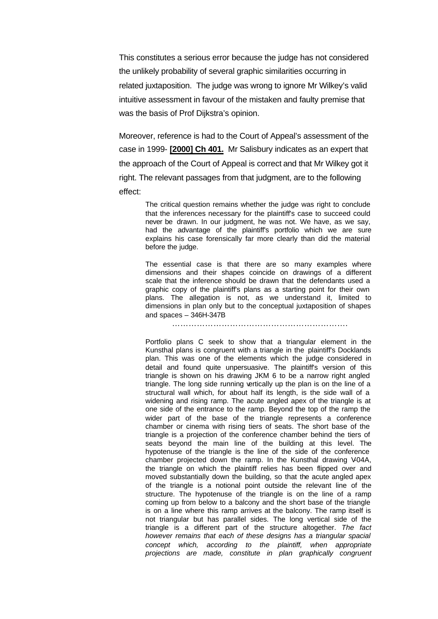This constitutes a serious error because the judge has not considered the unlikely probability of several graphic similarities occurring in related juxtaposition. The judge was wrong to ignore Mr Wilkey's valid intuitive assessment in favour of the mistaken and faulty premise that was the basis of Prof Dijkstra's opinion.

Moreover, reference is had to the Court of Appeal's assessment of the case in 1999- **[2000] Ch 401.** Mr Salisbury indicates as an expert that the approach of the Court of Appeal is correct and that Mr Wilkey got it right. The relevant passages from that judgment, are to the following effect:

> The critical question remains whether the judge was right to conclude that the inferences necessary for the plaintiff's case to succeed could never be drawn. In our judgment, he was not. We have, as we say, had the advantage of the plaintiff's portfolio which we are sure explains his case forensically far more clearly than did the material before the judge.

> The essential case is that there are so many examples where dimensions and their shapes coincide on drawings of a different scale that the inference should be drawn that the defendants used a graphic copy of the plaintiff's plans as a starting point for their own plans. The allegation is not, as we understand it, limited to dimensions in plan only but to the conceptual juxtaposition of shapes and spaces – 346H-347B

> > ……………………………………………………….

Portfolio plans C seek to show that a triangular element in the Kunsthal plans is congruent with a triangle in the plaintiff's Docklands plan. This was one of the elements which the judge considered in detail and found quite unpersuasive. The plaintiff's version of this triangle is shown on his drawing JKM 6 to be a narrow right angled triangle. The long side running vertically up the plan is on the line of a structural wall which, for about half its length, is the side wall of a widening and rising ramp. The acute angled apex of the triangle is at one side of the entrance to the ramp. Beyond the top of the ramp the wider part of the base of the triangle represents a conference chamber or cinema with rising tiers of seats. The short base of the triangle is a projection of the conference chamber behind the tiers of seats beyond the main line of the building at this level. The hypotenuse of the triangle is the line of the side of the conference chamber projected down the ramp. In the Kunsthal drawing V-04A, the triangle on which the plaintiff relies has been flipped over and moved substantially down the building, so that the acute angled apex of the triangle is a notional point outside the relevant line of the structure. The hypotenuse of the triangle is on the line of a ramp coming up from below to a balcony and the short base of the triangle is on a line where this ramp arrives at the balcony. The ramp itself is not triangular but has parallel sides. The long vertical side of the triangle is a different part of the structure altogether. *The fact however remains that each of these designs has a triangular spacial concept which, according to the plaintiff, when appropriate projections are made, constitute in plan graphically congruent*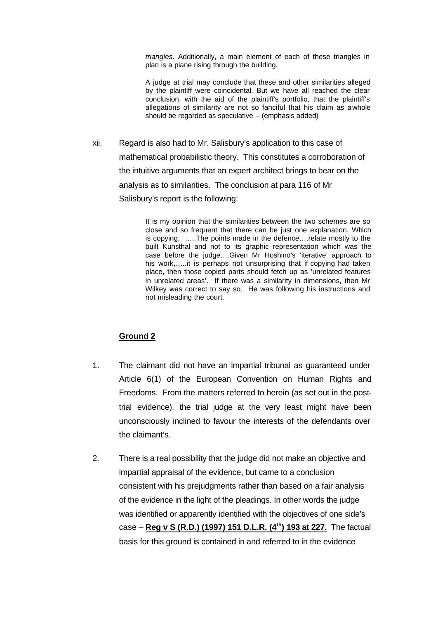*triangles.* Additionally, a main element of each of these triangles in plan is a plane rising through the building.

A judge at trial may conclude that these and other similarities alleged by the plaintiff were coincidental. But we have all reached the clear conclusion, with the aid of the plaintiff's portfolio, that the plaintiff's allegations of similarity are not so fanciful that his claim as a whole should be regarded as speculative – (emphasis added)

xii. Regard is also had to Mr. Salisbury's application to this case of mathematical probabilistic theory. This constitutes a corroboration of the intuitive arguments that an expert architect brings to bear on the analysis as to similarities. The conclusion at para 116 of Mr Salisbury's report is the following:

> It is my opinion that the similarities between the two schemes are so close and so frequent that there can be just one explanation. Which is copying. …..The points made in the defence….relate mostly to the built Kunsthal and not to its graphic representation which was the case before the judge….Given Mr Hoshino's 'iterative' approach to his work,.....it is perhaps not unsurprising that if copying had taken place, then those copied parts should fetch up as 'unrelated features in unrelated areas'. If there was a similarity in dimensions, then Mr Wilkey was correct to say so. He was following his instructions and not misleading the court.

## **Ground 2**

- 1. The claimant did not have an impartial tribunal as guaranteed under Article 6(1) of the European Convention on Human Rights and Freedoms. From the matters referred to herein (as set out in the posttrial evidence), the trial judge at the very least might have been unconsciously inclined to favour the interests of the defendants over the claimant's.
- 2. There is a real possibility that the judge did not make an objective and impartial appraisal of the evidence, but came to a conclusion consistent with his prejudgments rather than based on a fair analysis of the evidence in the light of the pleadings. In other words the judge was identified or apparently identified with the objectives of one side's case – **Reg v S (R.D.) (1997) 151 D.L.R. (4th) 193 at 227.** The factual basis for this ground is contained in and referred to in the evidence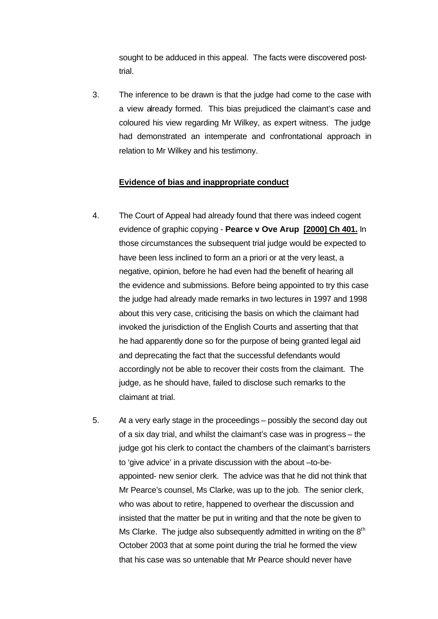sought to be adduced in this appeal. The facts were discovered posttrial.

3. The inference to be drawn is that the judge had come to the case with a view already formed. This bias prejudiced the claimant's case and coloured his view regarding Mr Wilkey, as expert witness. The judge had demonstrated an intemperate and confrontational approach in relation to Mr Wilkey and his testimony.

# **Evidence of bias and inappropriate conduct**

- 4. The Court of Appeal had already found that there was indeed cogent evidence of graphic copying - **Pearce v Ove Arup [2000] Ch 401.** In those circumstances the subsequent trial judge would be expected to have been less inclined to form an a priori or at the very least, a negative, opinion, before he had even had the benefit of hearing all the evidence and submissions. Before being appointed to try this case the judge had already made remarks in two lectures in 1997 and 1998 about this very case, criticising the basis on which the claimant had invoked the jurisdiction of the English Courts and asserting that that he had apparently done so for the purpose of being granted legal aid and deprecating the fact that the successful defendants would accordingly not be able to recover their costs from the claimant. The judge, as he should have, failed to disclose such remarks to the claimant at trial.
- 5. At a very early stage in the proceedings possibly the second day out of a six day trial, and whilst the claimant's case was in progress – the judge got his clerk to contact the chambers of the claimant's barristers to 'give advice' in a private discussion with the about –to-beappointed- new senior clerk. The advice was that he did not think that Mr Pearce's counsel, Ms Clarke, was up to the job. The senior clerk, who was about to retire, happened to overhear the discussion and insisted that the matter be put in writing and that the note be given to Ms Clarke. The judge also subsequently admitted in writing on the  $8<sup>th</sup>$ October 2003 that at some point during the trial he formed the view that his case was so untenable that Mr Pearce should never have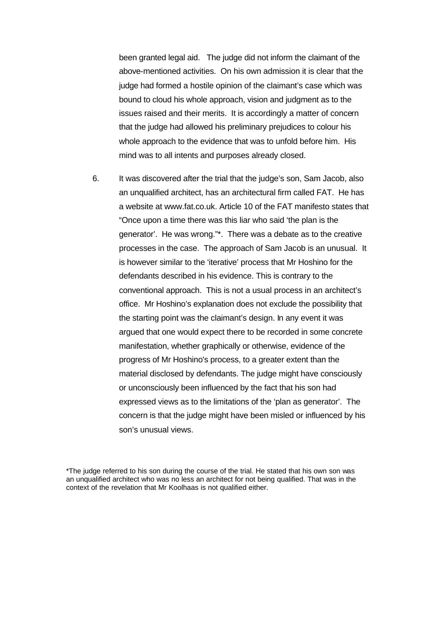been granted legal aid. The judge did not inform the claimant of the above-mentioned activities. On his own admission it is clear that the judge had formed a hostile opinion of the claimant's case which was bound to cloud his whole approach, vision and judgment as to the issues raised and their merits. It is accordingly a matter of concern that the judge had allowed his preliminary prejudices to colour his whole approach to the evidence that was to unfold before him. His mind was to all intents and purposes already closed.

6. It was discovered after the trial that the judge's son, Sam Jacob, also an unqualified architect, has an architectural firm called FAT. He has a website at www.fat.co.uk. Article 10 of the FAT manifesto states that "Once upon a time there was this liar who said 'the plan is the generator'. He was wrong."\*. There was a debate as to the creative processes in the case. The approach of Sam Jacob is an unusual. It is however similar to the 'iterative' process that Mr Hoshino for the defendants described in his evidence. This is contrary to the conventional approach. This is not a usual process in an architect's office. Mr Hoshino's explanation does not exclude the possibility that the starting point was the claimant's design. In any event it was argued that one would expect there to be recorded in some concrete manifestation, whether graphically or otherwise, evidence of the progress of Mr Hoshino's process, to a greater extent than the material disclosed by defendants. The judge might have consciously or unconsciously been influenced by the fact that his son had expressed views as to the limitations of the 'plan as generator'. The concern is that the judge might have been misled or influenced by his son's unusual views.

<sup>\*</sup>The judge referred to his son during the course of the trial. He stated that his own son was an unqualified architect who was no less an architect for not being qualified. That was in the context of the revelation that Mr Koolhaas is not qualified either.